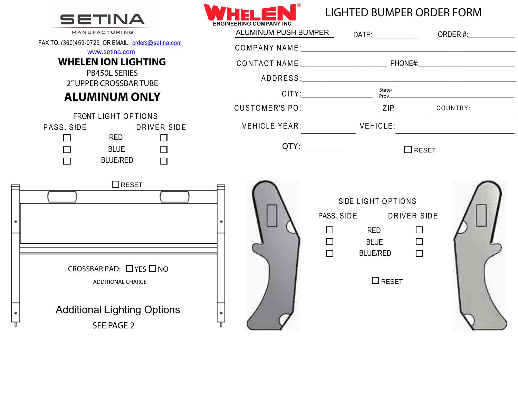

FAX TO: (360)459-0729

PASS. SIDE

 $\bullet$ 

 $^{\circledR}$ ENCINEEDING

# LIGHTED BUMPER ORDER FORM

| MANUFACTURING                                                                                                      |                             |                                                                                                          | ALUMINUM PUSH BUMPER DATE: DATE: ORDER #: |
|--------------------------------------------------------------------------------------------------------------------|-----------------------------|----------------------------------------------------------------------------------------------------------|-------------------------------------------|
| O: (360)459-0729 OR EMAIL: orders@setina.com<br>www.setina.com                                                     |                             |                                                                                                          |                                           |
| <b>WHELEN ION LIGHTING</b>                                                                                         |                             |                                                                                                          |                                           |
| <b>PB450L SERIES</b><br>2" UPPER CROSSBAR TUBE                                                                     |                             |                                                                                                          |                                           |
| <b>ALUMINUM ONLY</b>                                                                                               |                             |                                                                                                          | $CITY:$ $State/$ \nProve                  |
| FRONT LIGHT OPTIONS                                                                                                | CUSTOMER'S PO: ZIP COUNTRY: |                                                                                                          |                                           |
| SS. SIDE<br>DRIVER SIDE                                                                                            | VEHICLE YEAR: VEHICLE:      |                                                                                                          |                                           |
| <b>RED</b><br>$\Box$<br>$\Box$<br>$\Box$<br>B L U E<br>$\Box$<br>$BLUE/RED$ $\qquad \qquad \Box$                   |                             |                                                                                                          | $\Box$ RESET                              |
| $\Box$ RESET                                                                                                       |                             | SIDE LIGHT OPTIONS<br>PASS. SIDE DRIVER SIDE<br>$\Box$<br><b>RED</b><br>$\Box$ and $\Box$<br><b>BLUE</b> | $\Box$<br>$\Box$                          |
| CROSSBAR PAD: $\Box$ YES $\Box$ NO<br><b>ADDITIONAL CHARGE</b><br><b>Additional Lighting Options</b><br>SEE PAGE 2 |                             | $\Box$<br><b>BLUE/RED</b><br>$\Box$ RESET                                                                | $\Box$                                    |